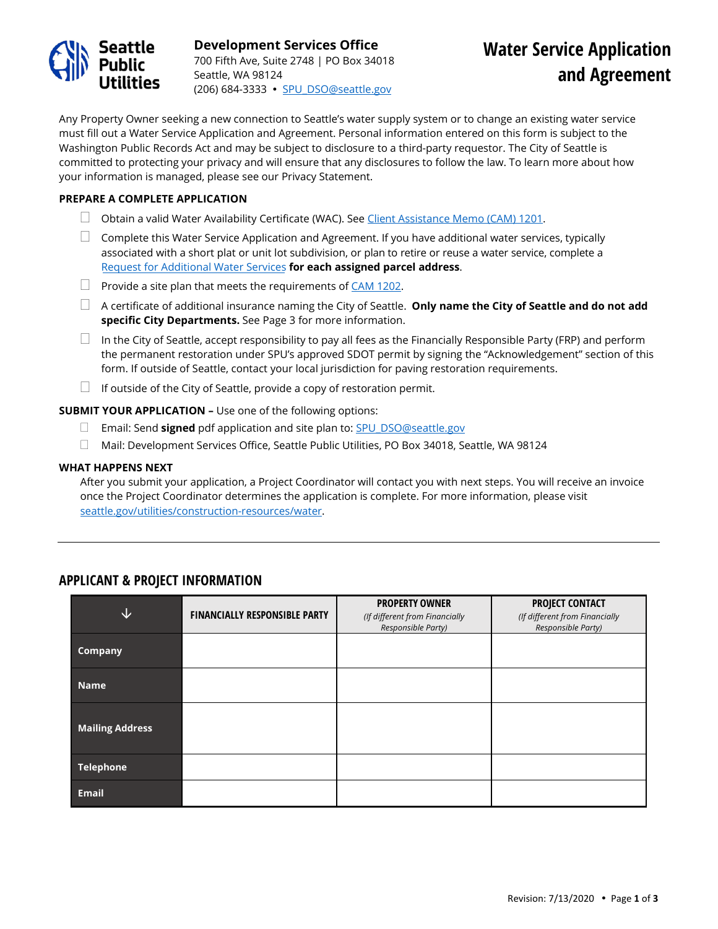

**Development Services Office** 700 Fifth Ave, Suite 2748 | PO Box 34018 Seattle, WA 98124 (206) 684-3333 · SPU DSO@seattle.gov

Any Property Owner seeking a new connection to Seattle's water supply system or to change an existing water service must fill out a Water Service Application and Agreement. Personal information entered on this form is subject to the Washington Public Records Act and may be subject to disclosure to a third-party requestor. The City of Seattle is committed to protecting your privacy and will ensure that any disclosures to follow the law. To learn more about how your information is managed, please see our Privacy Statement.

### **PREPARE A COMPLETE APPLICATION**

- $\Box$  Obtain a valid Water Availability Certificate (WAC). See [Client Assistance Memo \(CAM\) 1201.](http://www.seattle.gov/util/Engineering/DevelopmentServicesOffice/WaterService/WaterAvailabilityCertificate/index.htm)
- $\Box$  Complete this Water Service Application and Agreement. If you have additional water services, typically associated with a short plat or unit lot subdivision, or plan to retire or reuse a water service, complete a Request [for Additional Water Services](http://www.seattle.gov/Documents/Departments/SPU/Engineering/Request_Additional_Water_Services.pdf) **for each assigned parcel address**.
- $\Box$  Provide a site plan that meets the requirements o[f CAM 1202.](http://www.seattle.gov/util/Engineering/DevelopmentServicesOffice/WaterService/index.htm)
- A certificate of additional insurance naming the City of Seattle. **Only name the City of Seattle and do not add specific City Departments.** See Page 3 for more information.
- $\Box$  In the City of Seattle, accept responsibility to pay all fees as the Financially Responsible Party (FRP) and perform the permanent restoration under SPU's approved SDOT permit by signing the "Acknowledgement" section of this form. If outside of Seattle, contact your local jurisdiction for paving restoration requirements.
- $\Box$  If outside of the City of Seattle, provide a copy of restoration permit.

### **SUBMIT YOUR APPLICATION –** Use one of the following options:

- Email: Send **signed** pdf application and site plan to[: SPU\\_DSO@seattle.gov](mailto:SPU_DSO@seattle.gov)
- Mail: Development Services Office, Seattle Public Utilities, PO Box 34018, Seattle, WA 98124

### **WHAT HAPPENS NEXT**

After you submit your application, a Project Coordinator will contact you with next steps. You will receive an invoice once the Project Coordinator determines the application is complete. For more information, please visit [seattle.gov/utilities/construction-resources/water.](http://www.seattle.gov/utilities/construction-resources/water) 

| ↓                      | <b>FINANCIALLY RESPONSIBLE PARTY</b> | <b>PROPERTY OWNER</b><br>(If different from Financially<br>Responsible Party) | <b>PROJECT CONTACT</b><br>(If different from Financially<br>Responsible Party) |
|------------------------|--------------------------------------|-------------------------------------------------------------------------------|--------------------------------------------------------------------------------|
| <b>Company</b>         |                                      |                                                                               |                                                                                |
| <b>Name</b>            |                                      |                                                                               |                                                                                |
| <b>Mailing Address</b> |                                      |                                                                               |                                                                                |
| <b>Telephone</b>       |                                      |                                                                               |                                                                                |
| <b>Email</b>           |                                      |                                                                               |                                                                                |

# **APPLICANT & PROJECT INFORMATION**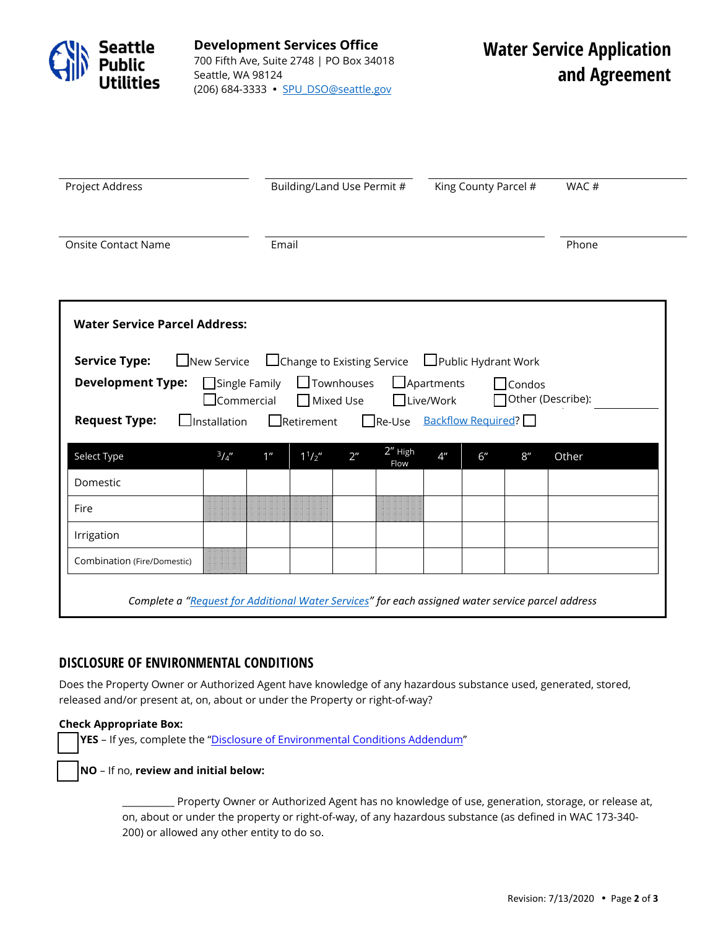

**Development Services Office** 700 Fifth Ave, Suite 2748 | PO Box 34018 Seattle, WA 98124 (206) 684-3333 · [SPU\\_DSO@seattle.gov](mailto:SPU_DSO@seattle.gov)

| Project Address                                                                                                                                                                                               |               |                | Building/Land Use Permit # |                |                 |                | King County Parcel # |     | WAC#  |  |
|---------------------------------------------------------------------------------------------------------------------------------------------------------------------------------------------------------------|---------------|----------------|----------------------------|----------------|-----------------|----------------|----------------------|-----|-------|--|
| <b>Onsite Contact Name</b>                                                                                                                                                                                    |               | Email          |                            |                |                 |                |                      |     | Phone |  |
| <b>Water Service Parcel Address:</b>                                                                                                                                                                          |               |                |                            |                |                 |                |                      |     |       |  |
| <b>Service Type:</b><br>$\Box$ Change to Existing Service $\Box$ Public Hydrant Work<br>New Service<br><b>Development Type:</b><br>Single Family<br><b>S</b> Townhouses<br>$\Box$ Apartments<br>$\Box$ Condos |               |                |                            |                |                 |                |                      |     |       |  |
| Other (Describe):<br>$\Box$ Mixed Use<br>□Live/Work<br>$\sf J$ Commercial<br>Re-Use Backflow Required?<br>$\Box$ Retirement<br><b>Request Type:</b><br>$\Box$ Installation                                    |               |                |                            |                |                 |                |                      |     |       |  |
| Select Type                                                                                                                                                                                                   | $^{3}/_{4}$ " | 1 <sup>n</sup> | $1^{1}/2''$                | 2 <sup>n</sup> | 2" High<br>Flow | 4 <sup>n</sup> | 6"                   | 8'' | Other |  |
| Domestic                                                                                                                                                                                                      |               |                |                            |                |                 |                |                      |     |       |  |
| Fire                                                                                                                                                                                                          |               |                |                            |                |                 |                |                      |     |       |  |
| Irrigation                                                                                                                                                                                                    |               |                |                            |                |                 |                |                      |     |       |  |
| Combination (Fire/Domestic)                                                                                                                                                                                   |               |                |                            |                |                 |                |                      |     |       |  |
| Complete a "Request for Additional Water Services" for each assigned water service parcel address                                                                                                             |               |                |                            |                |                 |                |                      |     |       |  |

# **DISCLOSURE OF ENVIRONMENTAL CONDITIONS**

Does the Property Owner or Authorized Agent have knowledge of any hazardous substance used, generated, stored, released and/or present at, on, about or under the Property or right-of-way?

# **Check Appropriate Box:**

**YES** – If yes, complete the ["Disclosure of Environmental Conditions Addendum](http://www.seattle.gov/Documents/Departments/SPU/Engineering/Water_Environmental_Conditions.pdf)"

**NO** – If no, **review and initial below:** 

\_\_\_\_\_\_\_\_\_\_\_ Property Owner or Authorized Agent has no knowledge of use, generation, storage, or release at, on, about or under the property or right-of-way, of any hazardous substance (as defined in WAC 173-340- 200) or allowed any other entity to do so.